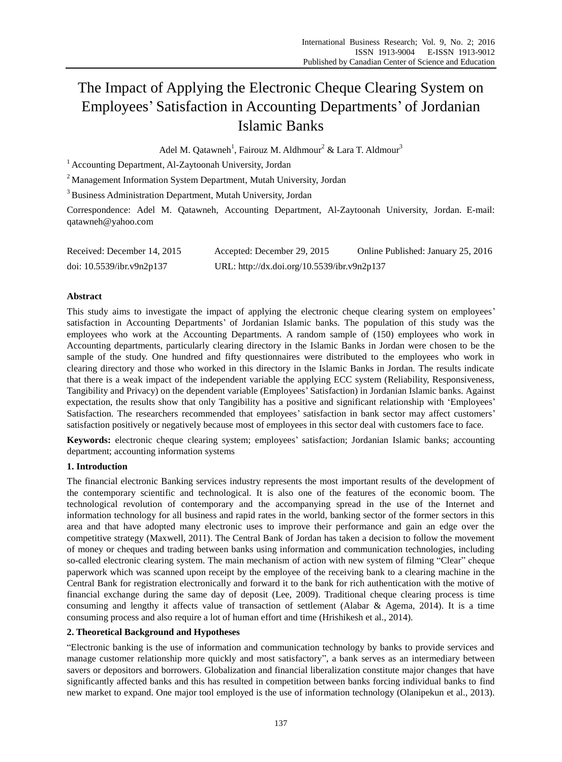# The Impact of Applying the Electronic Cheque Clearing System on Employees' Satisfaction in Accounting Departments' of Jordanian Islamic Banks

Adel M. Qatawneh<sup>1</sup>, Fairouz M. Aldhmour<sup>2</sup> & Lara T. Aldmour<sup>3</sup>

<sup>1</sup> Accounting Department, Al-Zaytoonah University, Jordan

<sup>2</sup> Management Information System Department, Mutah University, Jordan

<sup>3</sup> Business Administration Department, Mutah University, Jordan

Correspondence: Adel M. Qatawneh, Accounting Department, Al-Zaytoonah University, Jordan. E-mail: [qatawneh@yahoo.com](mailto:qatawneh@yahoo.com)

| Received: December 14, 2015 | Accepted: December 29, 2015                 | Online Published: January 25, 2016 |
|-----------------------------|---------------------------------------------|------------------------------------|
| doi: 10.5539/ibr.v9n2p137   | URL: http://dx.doi.org/10.5539/ibr.v9n2p137 |                                    |

# **Abstract**

This study aims to investigate the impact of applying the electronic cheque clearing system on employees' satisfaction in Accounting Departments' of Jordanian Islamic banks. The population of this study was the employees who work at the Accounting Departments. A random sample of (150) employees who work in Accounting departments, particularly clearing directory in the Islamic Banks in Jordan were chosen to be the sample of the study. One hundred and fifty questionnaires were distributed to the employees who work in clearing directory and those who worked in this directory in the Islamic Banks in Jordan. The results indicate that there is a weak impact of the independent variable the applying ECC system (Reliability, Responsiveness, Tangibility and Privacy) on the dependent variable (Employees' Satisfaction) in Jordanian Islamic banks. Against expectation, the results show that only Tangibility has a positive and significant relationship with 'Employees' Satisfaction. The researchers recommended that employees' satisfaction in bank sector may affect customers' satisfaction positively or negatively because most of employees in this sector deal with customers face to face.

**Keywords:** electronic cheque clearing system; employees' satisfaction; Jordanian Islamic banks; accounting department; accounting information systems

# **1. Introduction**

The financial electronic Banking services industry represents the most important results of the development of the contemporary scientific and technological. It is also one of the features of the economic boom. The technological revolution of contemporary and the accompanying spread in the use of the Internet and information technology for all business and rapid rates in the world, banking sector of the former sectors in this area and that have adopted many electronic uses to improve their performance and gain an edge over the competitive strategy (Maxwell, 2011). The Central Bank of Jordan has taken a decision to follow the movement of money or cheques and trading between banks using information and communication technologies, including so-called electronic clearing system. The main mechanism of action with new system of filming "Clear" cheque paperwork which was scanned upon receipt by the employee of the receiving bank to a clearing machine in the Central Bank for registration electronically and forward it to the bank for rich authentication with the motive of financial exchange during the same day of deposit (Lee, 2009). Traditional cheque clearing process is time consuming and lengthy it affects value of transaction of settlement (Alabar & Agema, 2014). It is a time consuming process and also require a lot of human effort and time (Hrishikesh et al., 2014).

# **2. Theoretical Background and Hypotheses**

"Electronic banking is the use of information and communication technology by banks to provide services and manage customer relationship more quickly and most satisfactory", a bank serves as an intermediary between savers or depositors and borrowers. Globalization and financial liberalization constitute major changes that have significantly affected banks and this has resulted in competition between banks forcing individual banks to find new market to expand. One major tool employed is the use of information technology (Olanipekun et al., 2013).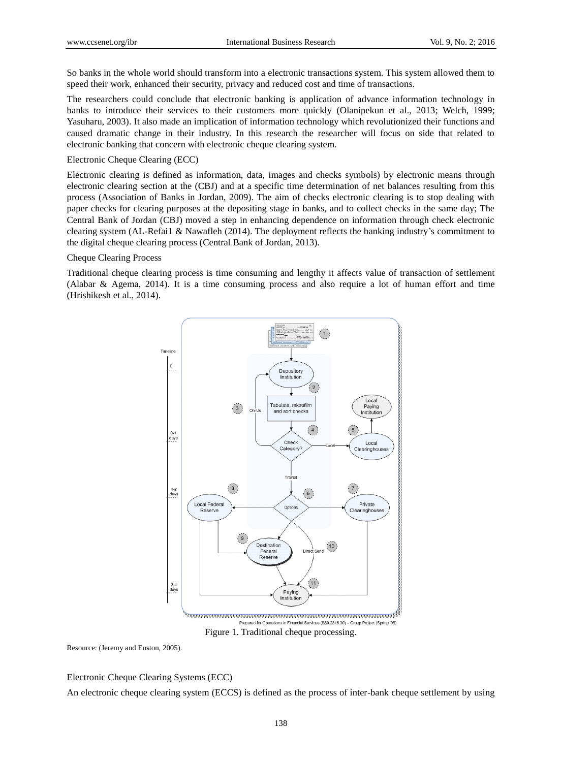So banks in the whole world should transform into a electronic transactions system. This system allowed them to speed their work, enhanced their security, privacy and reduced cost and time of transactions.

The researchers could conclude that electronic banking is application of advance information technology in banks to introduce their services to their customers more quickly (Olanipekun et al., 2013; Welch, 1999; Yasuharu, 2003). It also made an implication of information technology which revolutionized their functions and caused dramatic change in their industry. In this research the researcher will focus on side that related to electronic banking that concern with electronic cheque clearing system.

# Electronic Cheque Clearing (ECC)

Electronic clearing is defined as information, data, images and checks symbols) by electronic means through electronic clearing section at the (CBJ) and at a specific time determination of net balances resulting from this process (Association of Banks in Jordan, 2009). The aim of checks electronic clearing is to stop dealing with paper checks for clearing purposes at the depositing stage in banks, and to collect checks in the same day; The Central Bank of Jordan (CBJ) moved a step in enhancing dependence on information through check electronic clearing system (AL-Refai1 & Nawafleh (2014). The deployment reflects the banking industry's commitment to the digital cheque clearing process (Central Bank of Jordan, 2013).

#### Cheque Clearing Process

Traditional cheque clearing process is time consuming and lengthy it affects value of transaction of settlement (Alabar & Agema, 2014). It is a time consuming process and also require a lot of human effort and time (Hrishikesh et al., 2014).



Figure 1. Traditional cheque processing.

Resource: (Jeremy and Euston, 2005).

#### Electronic Cheque Clearing Systems (ECC)

An electronic cheque clearing system (ECCS) is defined as the process of inter-bank cheque settlement by using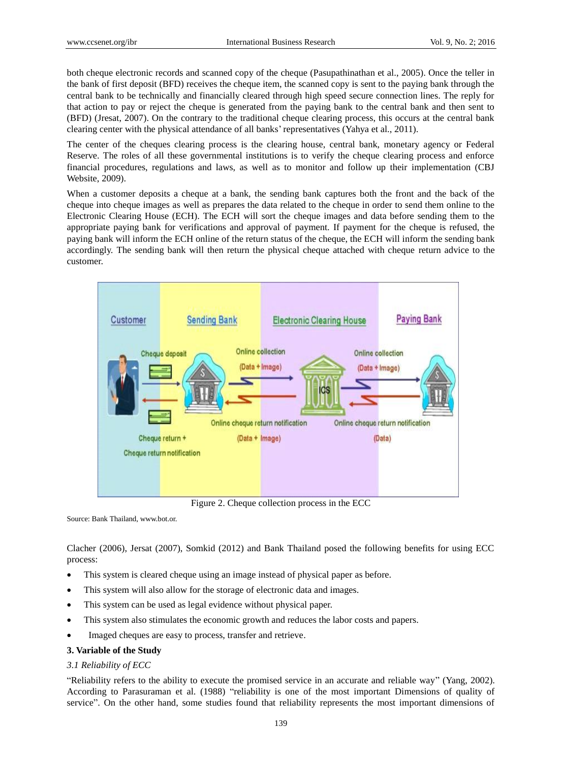both cheque electronic records and scanned copy of the cheque (Pasupathinathan et al., 2005). Once the teller in the bank of first deposit (BFD) receives the cheque item, the scanned copy is sent to the paying bank through the central bank to be technically and financially cleared through high speed secure connection lines. The reply for that action to pay or reject the cheque is generated from the paying bank to the central bank and then sent to (BFD) (Jresat, 2007). On the contrary to the traditional cheque clearing process, this occurs at the central bank clearing center with the physical attendance of all banks' representatives (Yahya et al., 2011).

The center of the cheques clearing process is the clearing house, central bank, monetary agency or Federal Reserve. The roles of all these governmental institutions is to verify the cheque clearing process and enforce financial procedures, regulations and laws, as well as to monitor and follow up their implementation (CBJ Website, 2009).

When a customer deposits a cheque at a bank, the sending bank captures both the front and the back of the cheque into cheque images as well as prepares the data related to the cheque in order to send them online to the Electronic Clearing House (ECH). The ECH will sort the cheque images and data before sending them to the appropriate paying bank for verifications and approval of payment. If payment for the cheque is refused, the paying bank will inform the ECH online of the return status of the cheque, the ECH will inform the sending bank accordingly. The sending bank will then return the physical cheque attached with cheque return advice to the customer.



Figure 2. Cheque collection process in the ECC

Source: Bank Thailand, www.bot.or.

Clacher (2006), Jersat (2007), Somkid (2012) and Bank Thailand posed the following benefits for using ECC process:

- This system is cleared cheque using an image instead of physical paper as before.
- This system will also allow for the storage of electronic data and images.
- This system can be used as legal evidence without physical paper.
- This system also stimulates the economic growth and reduces the labor costs and papers.
- Imaged cheques are easy to process, transfer and retrieve.

# **3. Variable of the Study**

# *3.1 Reliability of ECC*

"Reliability refers to the ability to execute the promised service in an accurate and reliable way" (Yang, 2002). According to Parasuraman et al. (1988) "reliability is one of the most important Dimensions of quality of service". On the other hand, some studies found that reliability represents the most important dimensions of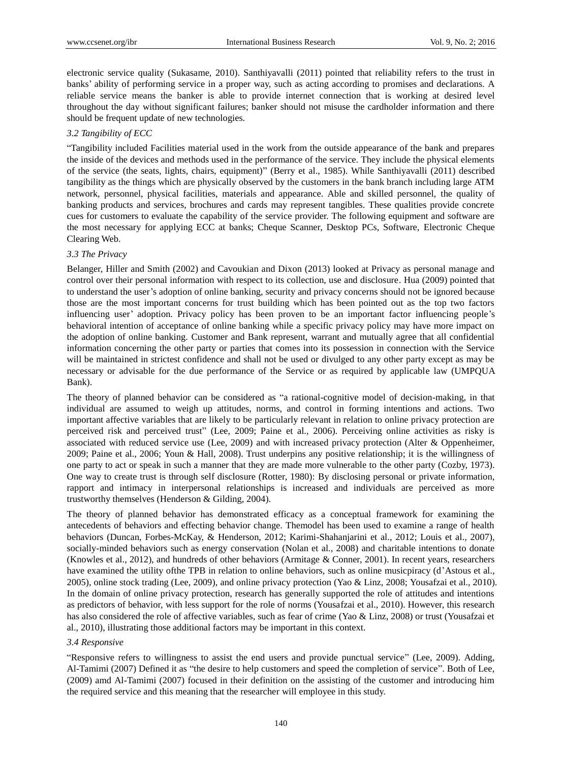electronic service quality (Sukasame, 2010). Santhiyavalli (2011) pointed that reliability refers to the trust in banks' ability of performing service in a proper way, such as acting according to promises and declarations. A reliable service means the banker is able to provide internet connection that is working at desired level throughout the day without significant failures; banker should not misuse the cardholder information and there should be frequent update of new technologies.

# *3.2 Tangibility of ECC*

"Tangibility included Facilities material used in the work from the outside appearance of the bank and prepares the inside of the devices and methods used in the performance of the service. They include the physical elements of the service (the seats, lights, chairs, equipment)" (Berry et al., 1985). While Santhiyavalli (2011) described tangibility as the things which are physically observed by the customers in the bank branch including large ATM network, personnel, physical facilities, materials and appearance. Able and skilled personnel, the quality of banking products and services, brochures and cards may represent tangibles. These qualities provide concrete cues for customers to evaluate the capability of the service provider. The following equipment and software are the most necessary for applying ECC at banks; Cheque Scanner, Desktop PCs, Software, Electronic Cheque Clearing Web.

# *3.3 The Privacy*

Belanger, Hiller and Smith (2002) and Cavoukian and Dixon (2013) looked at Privacy as personal manage and control over their personal information with respect to its collection, use and disclosure. Hua (2009) pointed that to understand the user's adoption of online banking, security and privacy concerns should not be ignored because those are the most important concerns for trust building which has been pointed out as the top two factors influencing user' adoption. Privacy policy has been proven to be an important factor influencing people's behavioral intention of acceptance of online banking while a specific privacy policy may have more impact on the adoption of online banking. Customer and Bank represent, warrant and mutually agree that all confidential information concerning the other party or parties that comes into its possession in connection with the Service will be maintained in strictest confidence and shall not be used or divulged to any other party except as may be necessary or advisable for the due performance of the Service or as required by applicable law (UMPQUA Bank).

The theory of planned behavior can be considered as "a rational-cognitive model of decision-making, in that individual are assumed to weigh up attitudes, norms, and control in forming intentions and actions. Two important affective variables that are likely to be particularly relevant in relation to online privacy protection are perceived risk and perceived trust" (Lee, 2009; Paine et al., 2006). Perceiving online activities as risky is associated with reduced service use (Lee, 2009) and with increased privacy protection (Alter & Oppenheimer, 2009; Paine et al., 2006; Youn & Hall, 2008). Trust underpins any positive relationship; it is the willingness of one party to act or speak in such a manner that they are made more vulnerable to the other party (Cozby, 1973). One way to create trust is through self disclosure (Rotter, 1980): By disclosing personal or private information, rapport and intimacy in interpersonal relationships is increased and individuals are perceived as more trustworthy themselves (Henderson & Gilding, 2004).

The theory of planned behavior has demonstrated efficacy as a conceptual framework for examining the antecedents of behaviors and effecting behavior change. Themodel has been used to examine a range of health behaviors (Duncan, Forbes-McKay, & Henderson, 2012; Karimi-Shahanjarini et al., 2012; Louis et al., 2007), socially-minded behaviors such as energy conservation (Nolan et al., 2008) and charitable intentions to donate (Knowles et al., 2012), and hundreds of other behaviors (Armitage & Conner, 2001). In recent years, researchers have examined the utility ofthe TPB in relation to online behaviors, such as online musicpiracy (d'Astous et al., 2005), online stock trading (Lee, 2009), and online privacy protection (Yao & Linz, 2008; Yousafzai et al., 2010). In the domain of online privacy protection, research has generally supported the role of attitudes and intentions as predictors of behavior, with less support for the role of norms (Yousafzai et al., 2010). However, this research has also considered the role of affective variables, such as fear of crime (Yao & Linz, 2008) or trust (Yousafzai et al., 2010), illustrating those additional factors may be important in this context.

# *3.4 Responsive*

"Responsive refers to willingness to assist the end users and provide punctual service" (Lee, 2009). Adding, Al-Tamimi (2007) Defined it as "the desire to help customers and speed the completion of service". Both of Lee, (2009) amd Al-Tamimi (2007) focused in their definition on the assisting of the customer and introducing him the required service and this meaning that the researcher will employee in this study.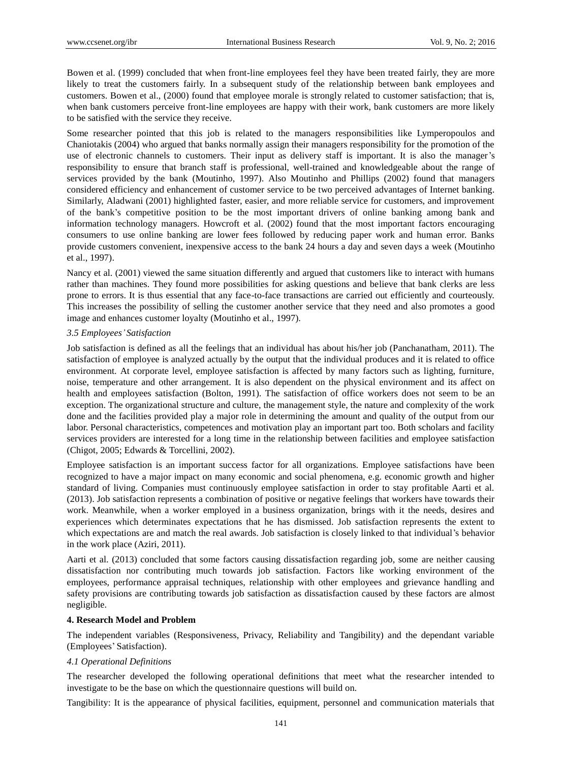Bowen et al. (1999) concluded that when front-line employees feel they have been treated fairly, they are more likely to treat the customers fairly. In a subsequent study of the relationship between bank employees and customers. Bowen et al., (2000) found that employee morale is strongly related to customer satisfaction; that is, when bank customers perceive front-line employees are happy with their work, bank customers are more likely to be satisfied with the service they receive.

Some researcher pointed that this job is related to the managers responsibilities like Lymperopoulos and Chaniotakis (2004) who argued that banks normally assign their managers responsibility for the promotion of the use of electronic channels to customers. Their input as delivery staff is important. It is also the manager's responsibility to ensure that branch staff is professional, well-trained and knowledgeable about the range of services provided by the bank (Moutinho, 1997). Also Moutinho and Phillips (2002) found that managers considered efficiency and enhancement of customer service to be two perceived advantages of Internet banking. Similarly, Aladwani (2001) highlighted faster, easier, and more reliable service for customers, and improvement of the bank's competitive position to be the most important drivers of online banking among bank and information technology managers. Howcroft et al. (2002) found that the most important factors encouraging consumers to use online banking are lower fees followed by reducing paper work and human error. Banks provide customers convenient, inexpensive access to the bank 24 hours a day and seven days a week (Moutinho et al., 1997).

Nancy et al. (2001) viewed the same situation differently and argued that customers like to interact with humans rather than machines. They found more possibilities for asking questions and believe that bank clerks are less prone to errors. It is thus essential that any face-to-face transactions are carried out efficiently and courteously. This increases the possibility of selling the customer another service that they need and also promotes a good image and enhances customer loyalty (Moutinho et al., 1997).

### *3.5 Employees' Satisfaction*

Job satisfaction is defined as all the feelings that an individual has about his/her job (Panchanatham, 2011). The satisfaction of employee is analyzed actually by the output that the individual produces and it is related to office environment. At corporate level, employee satisfaction is affected by many factors such as lighting, furniture, noise, temperature and other arrangement. It is also dependent on the physical environment and its affect on health and employees satisfaction (Bolton, 1991). The satisfaction of office workers does not seem to be an exception. The organizational structure and culture, the management style, the nature and complexity of the work done and the facilities provided play a major role in determining the amount and quality of the output from our labor. Personal characteristics, competences and motivation play an important part too. Both scholars and facility services providers are interested for a long time in the relationship between facilities and employee satisfaction (Chigot, 2005; Edwards & Torcellini, 2002).

Employee satisfaction is an important success factor for all organizations. Employee satisfactions have been recognized to have a major impact on many economic and social phenomena, e.g. economic growth and higher standard of living. Companies must continuously employee satisfaction in order to stay profitable Aarti et al. (2013). Job satisfaction represents a combination of positive or negative feelings that workers have towards their work. Meanwhile, when a worker employed in a business organization, brings with it the needs, desires and experiences which determinates expectations that he has dismissed. Job satisfaction represents the extent to which expectations are and match the real awards. Job satisfaction is closely linked to that individual's behavior in the work place (Aziri, 2011).

Aarti et al. (2013) concluded that some factors causing dissatisfaction regarding job, some are neither causing dissatisfaction nor contributing much towards job satisfaction. Factors like working environment of the employees, performance appraisal techniques, relationship with other employees and grievance handling and safety provisions are contributing towards job satisfaction as dissatisfaction caused by these factors are almost negligible.

## **4. Research Model and Problem**

The independent variables (Responsiveness, Privacy, Reliability and Tangibility) and the dependant variable (Employees' Satisfaction).

### *4.1 Operational Definitions*

The researcher developed the following operational definitions that meet what the researcher intended to investigate to be the base on which the questionnaire questions will build on.

Tangibility: It is the appearance of physical facilities, equipment, personnel and communication materials that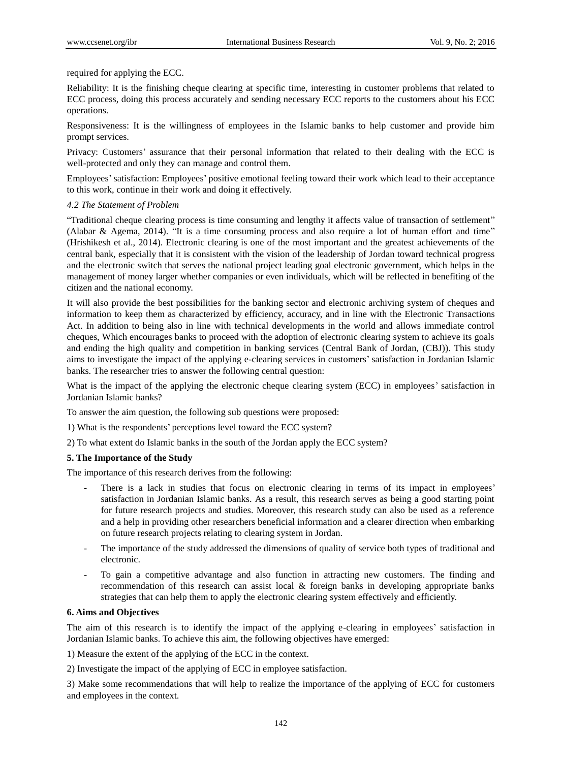required for applying the ECC.

Reliability: It is the finishing cheque clearing at specific time, interesting in customer problems that related to ECC process, doing this process accurately and sending necessary ECC reports to the customers about his ECC operations.

Responsiveness: It is the willingness of employees in the Islamic banks to help customer and provide him prompt services.

Privacy: Customers' assurance that their personal information that related to their dealing with the ECC is well-protected and only they can manage and control them.

Employees'satisfaction: Employees' positive emotional feeling toward their work which lead to their acceptance to this work, continue in their work and doing it effectively.

# *4.2 The Statement of Problem*

"Traditional cheque clearing process is time consuming and lengthy it affects value of transaction of settlement" (Alabar & Agema, 2014). "It is a time consuming process and also require a lot of human effort and time" (Hrishikesh et al., 2014). Electronic clearing is one of the most important and the greatest achievements of the central bank, especially that it is consistent with the vision of the leadership of Jordan toward technical progress and the electronic switch that serves the national project leading goal electronic government, which helps in the management of money larger whether companies or even individuals, which will be reflected in benefiting of the citizen and the national economy.

It will also provide the best possibilities for the banking sector and electronic archiving system of cheques and information to keep them as characterized by efficiency, accuracy, and in line with the Electronic Transactions Act. In addition to being also in line with technical developments in the world and allows immediate control cheques, Which encourages banks to proceed with the adoption of electronic clearing system to achieve its goals and ending the high quality and competition in banking services (Central Bank of Jordan, (CBJ)). This study aims to investigate the impact of the applying e-clearing services in customers' satisfaction in Jordanian Islamic banks. The researcher tries to answer the following central question:

What is the impact of the applying the electronic cheque clearing system (ECC) in employees' satisfaction in Jordanian Islamic banks?

To answer the aim question, the following sub questions were proposed:

1) What is the respondents' perceptions level toward the ECC system?

2) To what extent do Islamic banks in the south of the Jordan apply the ECC system?

# **5. The Importance of the Study**

The importance of this research derives from the following:

- There is a lack in studies that focus on electronic clearing in terms of its impact in employees' satisfaction in Jordanian Islamic banks. As a result, this research serves as being a good starting point for future research projects and studies. Moreover, this research study can also be used as a reference and a help in providing other researchers beneficial information and a clearer direction when embarking on future research projects relating to clearing system in Jordan.
- The importance of the study addressed the dimensions of quality of service both types of traditional and electronic.
- To gain a competitive advantage and also function in attracting new customers. The finding and recommendation of this research can assist local & foreign banks in developing appropriate banks strategies that can help them to apply the electronic clearing system effectively and efficiently.

# **6. Aims and Objectives**

The aim of this research is to identify the impact of the applying e-clearing in employees' satisfaction in Jordanian Islamic banks. To achieve this aim, the following objectives have emerged:

1) Measure the extent of the applying of the ECC in the context.

2) Investigate the impact of the applying of ECC in employee satisfaction.

3) Make some recommendations that will help to realize the importance of the applying of ECC for customers and employees in the context.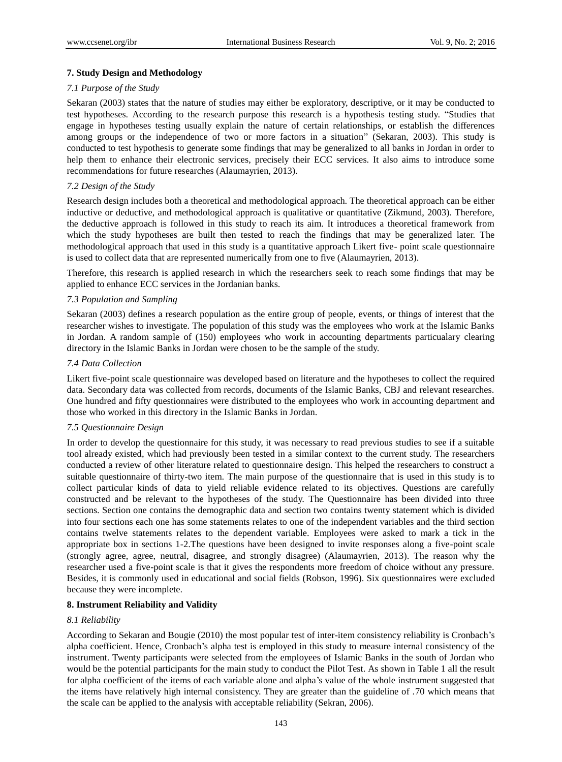# **7. Study Design and Methodology**

# *7.1 Purpose of the Study*

Sekaran (2003) states that the nature of studies may either be exploratory, descriptive, or it may be conducted to test hypotheses. According to the research purpose this research is a hypothesis testing study. "Studies that engage in hypotheses testing usually explain the nature of certain relationships, or establish the differences among groups or the independence of two or more factors in a situation" (Sekaran, 2003). This study is conducted to test hypothesis to generate some findings that may be generalized to all banks in Jordan in order to help them to enhance their electronic services, precisely their ECC services. It also aims to introduce some recommendations for future researches (Alaumayrien, 2013).

# *7.2 Design of the Study*

Research design includes both a theoretical and methodological approach. The theoretical approach can be either inductive or deductive, and methodological approach is qualitative or quantitative (Zikmund, 2003). Therefore, the deductive approach is followed in this study to reach its aim. It introduces a theoretical framework from which the study hypotheses are built then tested to reach the findings that may be generalized later. The methodological approach that used in this study is a quantitative approach Likert five- point scale questionnaire is used to collect data that are represented numerically from one to five (Alaumayrien, 2013).

Therefore, this research is applied research in which the researchers seek to reach some findings that may be applied to enhance ECC services in the Jordanian banks.

# *7.3 Population and Sampling*

Sekaran (2003) defines a research population as the entire group of people, events, or things of interest that the researcher wishes to investigate. The population of this study was the employees who work at the Islamic Banks in Jordan. A random sample of (150) employees who work in accounting departments particualary clearing directory in the Islamic Banks in Jordan were chosen to be the sample of the study.

# *7.4 Data Collection*

Likert five-point scale questionnaire was developed based on literature and the hypotheses to collect the required data. Secondary data was collected from records, documents of the Islamic Banks, CBJ and relevant researches. One hundred and fifty questionnaires were distributed to the employees who work in accounting department and those who worked in this directory in the Islamic Banks in Jordan.

# *7.5 Questionnaire Design*

In order to develop the questionnaire for this study, it was necessary to read previous studies to see if a suitable tool already existed, which had previously been tested in a similar context to the current study. The researchers conducted a review of other literature related to questionnaire design. This helped the researchers to construct a suitable questionnaire of thirty-two item. The main purpose of the questionnaire that is used in this study is to collect particular kinds of data to yield reliable evidence related to its objectives. Questions are carefully constructed and be relevant to the hypotheses of the study. The Questionnaire has been divided into three sections. Section one contains the demographic data and section two contains twenty statement which is divided into four sections each one has some statements relates to one of the independent variables and the third section contains twelve statements relates to the dependent variable. Employees were asked to mark a tick in the appropriate box in sections 1-2.The questions have been designed to invite responses along a five-point scale (strongly agree, agree, neutral, disagree, and strongly disagree) (Alaumayrien, 2013). The reason why the researcher used a five-point scale is that it gives the respondents more freedom of choice without any pressure. Besides, it is commonly used in educational and social fields (Robson, 1996). Six questionnaires were excluded because they were incomplete.

# **8. Instrument Reliability and Validity**

# *8.1 Reliability*

According to Sekaran and Bougie (2010) the most popular test of inter-item consistency reliability is Cronbach's alpha coefficient. Hence, Cronbach's alpha test is employed in this study to measure internal consistency of the instrument. Twenty participants were selected from the employees of Islamic Banks in the south of Jordan who would be the potential participants for the main study to conduct the Pilot Test. As shown in Table 1 all the result for alpha coefficient of the items of each variable alone and alpha's value of the whole instrument suggested that the items have relatively high internal consistency. They are greater than the guideline of .70 which means that the scale can be applied to the analysis with acceptable reliability (Sekran, 2006).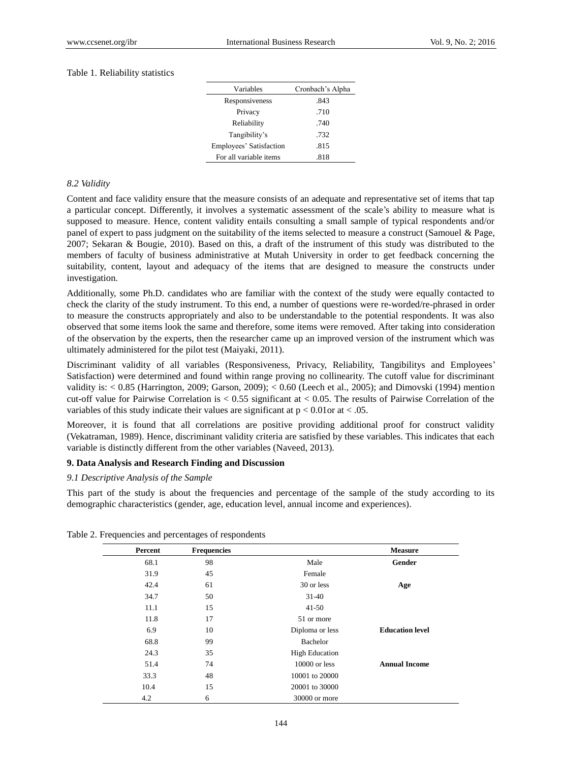## Table 1. Reliability statistics

| Variables               | Cronbach's Alpha |
|-------------------------|------------------|
| Responsiveness          | .843             |
| Privacy                 | .710             |
| Reliability             | .740             |
| Tangibility's           | .732             |
| Employees' Satisfaction | .815             |
| For all variable items  | .818             |

## *8.2 Validity*

Content and face validity ensure that the measure consists of an adequate and representative set of items that tap a particular concept. Differently, it involves a systematic assessment of the scale's ability to measure what is supposed to measure. Hence, content validity entails consulting a small sample of typical respondents and/or panel of expert to pass judgment on the suitability of the items selected to measure a construct (Samouel & Page, 2007; Sekaran & Bougie, 2010). Based on this, a draft of the instrument of this study was distributed to the members of faculty of business administrative at Mutah University in order to get feedback concerning the suitability, content, layout and adequacy of the items that are designed to measure the constructs under investigation.

Additionally, some Ph.D. candidates who are familiar with the context of the study were equally contacted to check the clarity of the study instrument. To this end, a number of questions were re-worded/re-phrased in order to measure the constructs appropriately and also to be understandable to the potential respondents. It was also observed that some items look the same and therefore, some items were removed. After taking into consideration of the observation by the experts, then the researcher came up an improved version of the instrument which was ultimately administered for the pilot test (Maiyaki, 2011).

Discriminant validity of all variables (Responsiveness, Privacy, Reliability, Tangibilitys and Employees' Satisfaction) were determined and found within range proving no collinearity. The cutoff value for discriminant validity is: < 0.85 (Harrington, 2009; Garson, 2009); < 0.60 (Leech et al., 2005); and Dimovski (1994) mention cut-off value for Pairwise Correlation is  $< 0.55$  significant at  $< 0.05$ . The results of Pairwise Correlation of the variables of this study indicate their values are significant at  $p < 0.01$  or at  $< .05$ .

Moreover, it is found that all correlations are positive providing additional proof for construct validity (Vekatraman, 1989). Hence, discriminant validity criteria are satisfied by these variables. This indicates that each variable is distinctly different from the other variables (Naveed, 2013).

#### **9. Data Analysis and Research Finding and Discussion**

## *9.1 Descriptive Analysis of the Sample*

This part of the study is about the frequencies and percentage of the sample of the study according to its demographic characteristics (gender, age, education level, annual income and experiences).

| Percent | <b>Frequencies</b> |                       | <b>Measure</b>         |
|---------|--------------------|-----------------------|------------------------|
| 68.1    | 98                 | Male                  | Gender                 |
| 31.9    | 45                 | Female                |                        |
| 42.4    | 61                 | 30 or less            | Age                    |
| 34.7    | 50                 | $31-40$               |                        |
| 11.1    | 15                 | $41 - 50$             |                        |
| 11.8    | 17                 | 51 or more            |                        |
| 6.9     | 10                 | Diploma or less       | <b>Education level</b> |
| 68.8    | 99                 | Bachelor              |                        |
| 24.3    | 35                 | <b>High Education</b> |                        |
| 51.4    | 74                 | $10000$ or less       | <b>Annual Income</b>   |
| 33.3    | 48                 | 10001 to 20000        |                        |
| 10.4    | 15                 | 20001 to 30000        |                        |
| 4.2     | 6                  | 30000 or more         |                        |

Table 2. Frequencies and percentages of respondents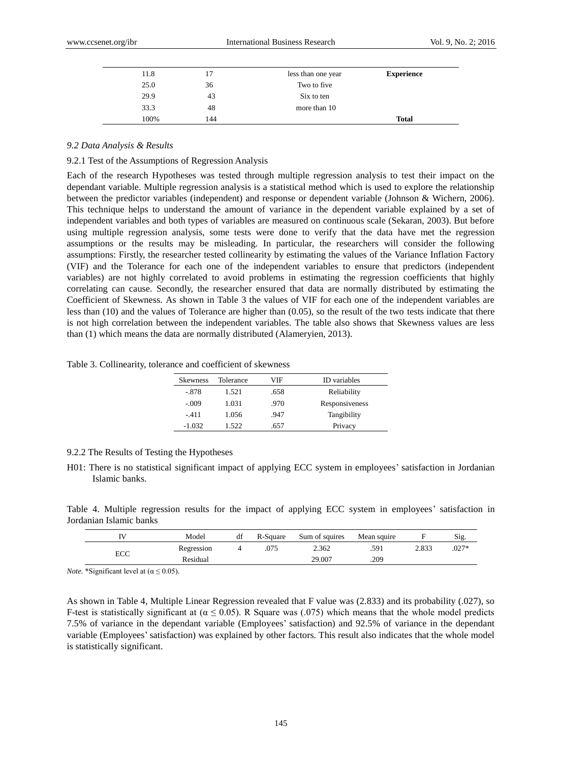| 11.8 | 17  | less than one year | <b>Experience</b> |
|------|-----|--------------------|-------------------|
| 25.0 | 36  | Two to five        |                   |
| 29.9 | 43  | Six to ten         |                   |
| 33.3 | 48  | more than 10       |                   |
| 100% | 144 |                    | <b>Total</b>      |

## *9.2 Data Analysis & Results*

## 9.2.1 Test of the Assumptions of Regression Analysis

Each of the research Hypotheses was tested through multiple regression analysis to test their impact on the dependant variable. Multiple regression analysis is a statistical method which is used to explore the relationship between the predictor variables (independent) and response or dependent variable (Johnson & Wichern, 2006). This technique helps to understand the amount of variance in the dependent variable explained by a set of independent variables and both types of variables are measured on continuous scale (Sekaran, 2003). But before using multiple regression analysis, some tests were done to verify that the data have met the regression assumptions or the results may be misleading. In particular, the researchers will consider the following assumptions: Firstly, the researcher tested collinearity by estimating the values of the Variance Inflation Factory (VIF) and the Tolerance for each one of the independent variables to ensure that predictors (independent variables) are not highly correlated to avoid problems in estimating the regression coefficients that highly correlating can cause. Secondly, the researcher ensured that data are normally distributed by estimating the Coefficient of Skewness. As shown in Table 3 the values of VIF for each one of the independent variables are less than (10) and the values of Tolerance are higher than (0.05), so the result of the two tests indicate that there is not high correlation between the independent variables. The table also shows that Skewness values are less than (1) which means the data are normally distributed (Alameryien, 2013).

|  |  | Table 3. Collinearity, tolerance and coefficient of skewness |  |  |
|--|--|--------------------------------------------------------------|--|--|
|--|--|--------------------------------------------------------------|--|--|

| <b>Skewness</b> | Tolerance | VIF  | ID variables   |
|-----------------|-----------|------|----------------|
| $-.878$         | 1.521     | .658 | Reliability    |
| $-.009$         | 1.031     | .970 | Responsiveness |
| $-411$          | 1.056     | .947 | Tangibility    |
| $-1.032$        | 1.522.    | 657  | Privacy        |

# 9.2.2 The Results of Testing the Hypotheses

H01: There is no statistical significant impact of applying ECC system in employees' satisfaction in Jordanian Islamic banks.

Table 4. Multiple regression results for the impact of applying ECC system in employees' satisfaction in Jordanian Islamic banks

|  | ΓV           | Model    | df   | R-Square | Sum of squires | Mean squire |         | Sig. |
|--|--------------|----------|------|----------|----------------|-------------|---------|------|
|  | Regression   |          | .075 | 2.362    | .591           | 2.833       | $.027*$ |      |
|  | 60 P<br>EUU. | Residual |      |          | 29.007         | .209        |         |      |

*Note.* \*Significant level at ( $\alpha \le 0.05$ ).

As shown in Table 4, Multiple Linear Regression revealed that F value was (2.833) and its probability (.027), so F-test is statistically significant at ( $\alpha \le 0.05$ ). R Square was (.075) which means that the whole model predicts 7.5% of variance in the dependant variable (Employees' satisfaction) and 92.5% of variance in the dependant variable (Employees'satisfaction) was explained by other factors. This result also indicates that the whole model is statistically significant.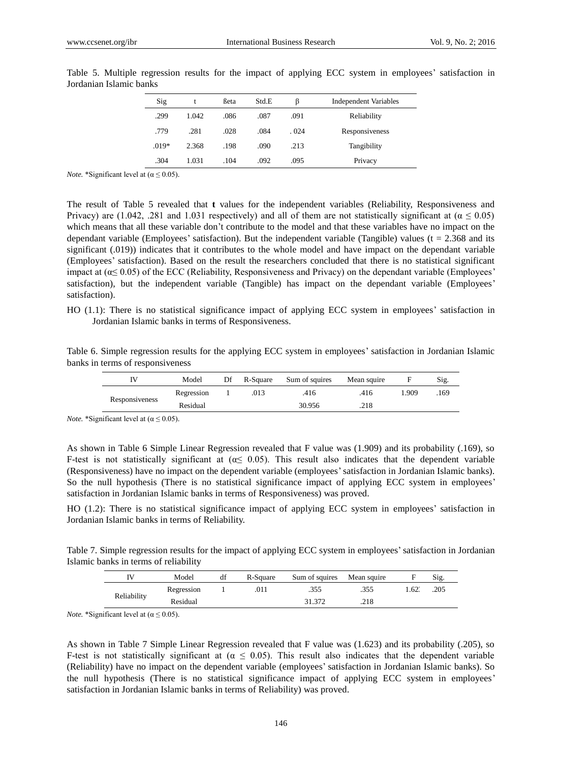| Sig     |       | ßeta | Std.E | B    | <b>Independent Variables</b> |
|---------|-------|------|-------|------|------------------------------|
| .299    | 1.042 | .086 | .087  | .091 | Reliability                  |
| .779    | .281  | .028 | .084  | .024 | Responsiveness               |
| $.019*$ | 2.368 | .198 | .090  | .213 | Tangibility                  |
| .304    | 1.031 | .104 | .092  | .095 | Privacy                      |

Table 5. Multiple regression results for the impact of applying ECC system in employees' satisfaction in Jordanian Islamic banks

*Note.* \*Significant level at ( $\alpha \le 0.05$ ).

The result of Table 5 revealed that **t** values for the independent variables (Reliability, Responsiveness and Privacy) are (1.042, .281 and 1.031 respectively) and all of them are not statistically significant at ( $\alpha \le 0.05$ ) which means that all these variable don't contribute to the model and that these variables have no impact on the dependant variable (Employees' satisfaction). But the independent variable (Tangible) values ( $t = 2.368$  and its significant (.019)) indicates that it contributes to the whole model and have impact on the dependant variable (Employees' satisfaction). Based on the result the researchers concluded that there is no statistical significant impact at  $(\alpha \le 0.05)$  of the ECC (Reliability, Responsiveness and Privacy) on the dependant variable (Employees' satisfaction), but the independent variable (Tangible) has impact on the dependant variable (Employees' satisfaction).

HO (1.1): There is no statistical significance impact of applying ECC system in employees' satisfaction in Jordanian Islamic banks in terms of Responsiveness.

Table 6. Simple regression results for the applying ECC system in employees' satisfaction in Jordanian Islamic banks in terms of responsiveness

|                | Model      | Df R-Square | Sum of squires | Mean squire |      | Sig. |
|----------------|------------|-------------|----------------|-------------|------|------|
| Responsiveness | Regression | .013        | .416           | .416        | -909 | .169 |
|                | Residual   |             | 30.956         | .218        |      |      |

*Note.* \*Significant level at ( $\alpha \le 0.05$ ).

As shown in Table 6 Simple Linear Regression revealed that F value was (1.909) and its probability (.169), so F-test is not statistically significant at ( $\alpha \leq 0.05$ ). This result also indicates that the dependent variable (Responsiveness) have no impact on the dependent variable (employees'satisfaction in Jordanian Islamic banks). So the null hypothesis (There is no statistical significance impact of applying ECC system in employees' satisfaction in Jordanian Islamic banks in terms of Responsiveness) was proved.

HO (1.2): There is no statistical significance impact of applying ECC system in employees' satisfaction in Jordanian Islamic banks in terms of Reliability.

Table 7. Simple regression results for the impact of applying ECC system in employees'satisfaction in Jordanian Islamic banks in terms of reliability

|             | Model      | df | R-Square | Sum of squires | Mean squire |                  | Sig. |
|-------------|------------|----|----------|----------------|-------------|------------------|------|
| Reliability | Regression |    | .011     |                | .355        | .62 <sup>°</sup> | .205 |
|             | Residual   |    |          | 31.372         | .218        |                  |      |

*Note.* \*Significant level at ( $\alpha \le 0.05$ ).

As shown in Table 7 Simple Linear Regression revealed that F value was (1.623) and its probability (.205), so F-test is not statistically significant at ( $\alpha \le 0.05$ ). This result also indicates that the dependent variable (Reliability) have no impact on the dependent variable (employees' satisfaction in Jordanian Islamic banks). So the null hypothesis (There is no statistical significance impact of applying ECC system in employees' satisfaction in Jordanian Islamic banks in terms of Reliability) was proved.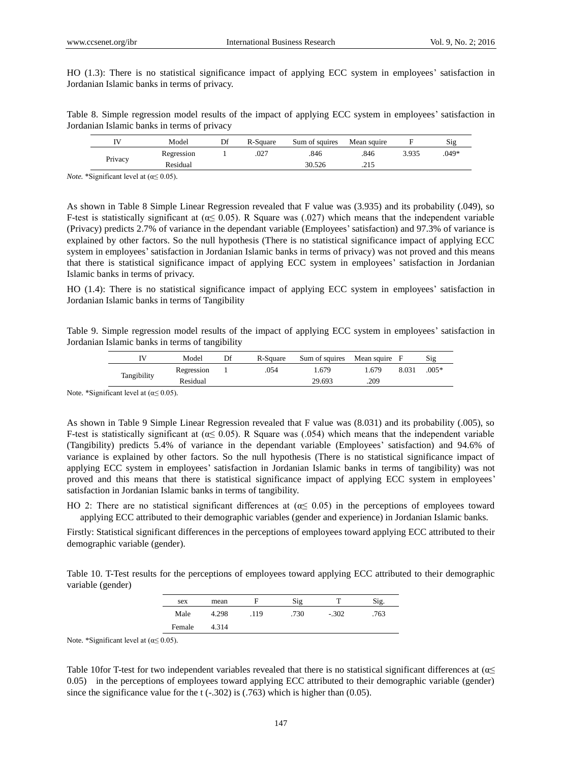HO (1.3): There is no statistical significance impact of applying ECC system in employees' satisfaction in Jordanian Islamic banks in terms of privacy.

Table 8. Simple regression model results of the impact of applying ECC system in employees' satisfaction in Jordanian Islamic banks in terms of privacy

|  |         | Model      | Df | R-Square | Sum of squires | Mean squire |       | Sig   |
|--|---------|------------|----|----------|----------------|-------------|-------|-------|
|  | Privacy | Regression |    | .027     | .846           | .846        | 3.935 | .049* |
|  |         | Residual   |    |          | 30.526         | .215        |       |       |

*Note.* \*Significant level at  $(\alpha \le 0.05)$ .

As shown in Table 8 Simple Linear Regression revealed that F value was (3.935) and its probability (.049), so F-test is statistically significant at ( $\alpha \le 0.05$ ). R Square was (.027) which means that the independent variable (Privacy) predicts 2.7% of variance in the dependant variable (Employees' satisfaction) and 97.3% of variance is explained by other factors. So the null hypothesis (There is no statistical significance impact of applying ECC system in employees' satisfaction in Jordanian Islamic banks in terms of privacy) was not proved and this means that there is statistical significance impact of applying ECC system in employees' satisfaction in Jordanian Islamic banks in terms of privacy.

HO (1.4): There is no statistical significance impact of applying ECC system in employees' satisfaction in Jordanian Islamic banks in terms of Tangibility

Table 9. Simple regression model results of the impact of applying ECC system in employees' satisfaction in Jordanian Islamic banks in terms of tangibility

| ΓV          | Model      | R-Square | Sum of squires Mean squire F |       |       | Sig     |
|-------------|------------|----------|------------------------------|-------|-------|---------|
| Tangibility | Regression | .054     | 1.679                        | 1.679 | 8.031 | $.005*$ |
|             | Residual   |          | 29.693                       | .209  |       |         |

Note. \*Significant level at ( $\alpha \leq 0.05$ ).

As shown in Table 9 Simple Linear Regression revealed that F value was (8.031) and its probability (.005), so F-test is statistically significant at ( $\alpha \le 0.05$ ). R Square was (.054) which means that the independent variable (Tangibility) predicts 5.4% of variance in the dependant variable (Employees' satisfaction) and 94.6% of variance is explained by other factors. So the null hypothesis (There is no statistical significance impact of applying ECC system in employees' satisfaction in Jordanian Islamic banks in terms of tangibility) was not proved and this means that there is statistical significance impact of applying ECC system in employees' satisfaction in Jordanian Islamic banks in terms of tangibility.

HO 2: There are no statistical significant differences at  $(\alpha \le 0.05)$  in the perceptions of employees toward applying ECC attributed to their demographic variables (gender and experience) in Jordanian Islamic banks.

Firstly: Statistical significant differences in the perceptions of employees toward applying ECC attributed to their demographic variable (gender).

Table 10. T-Test results for the perceptions of employees toward applying ECC attributed to their demographic variable (gender)

| sex    | mean  |     | Sig  |         | Sig. |
|--------|-------|-----|------|---------|------|
| Male   | 4.298 | 119 | .730 | $-.302$ | .763 |
| Female | 4.314 |     |      |         |      |

Note. \*Significant level at ( $\alpha \le 0.05$ ).

Table 10for T-test for two independent variables revealed that there is no statistical significant differences at ( $\alpha \leq$ 0.05) in the perceptions of employees toward applying ECC attributed to their demographic variable (gender) since the significance value for the  $t$  (-.302) is (.763) which is higher than (0.05).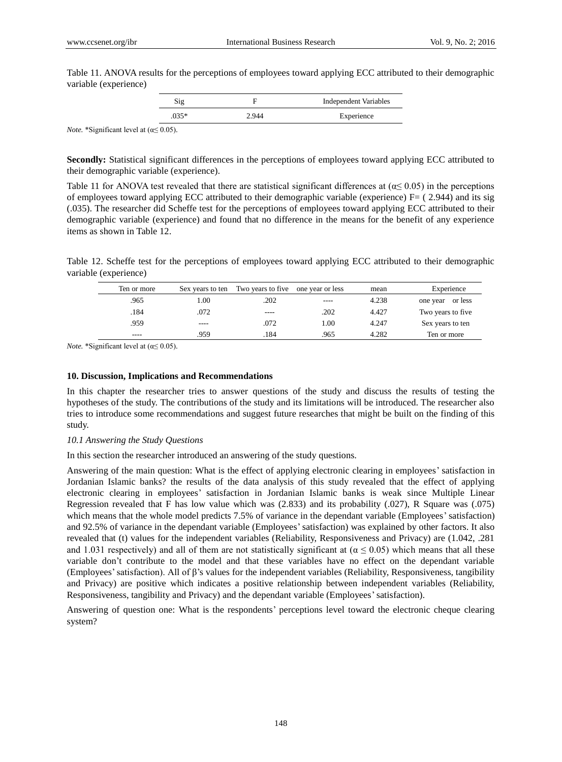Table 11. ANOVA results for the perceptions of employees toward applying ECC attributed to their demographic variable (experience)

| Sig     |       | <b>Independent Variables</b> |
|---------|-------|------------------------------|
| $.035*$ | 2.944 | Experience                   |

*Note.* \*Significant level at  $(\alpha < 0.05)$ .

**Secondly:** Statistical significant differences in the perceptions of employees toward applying ECC attributed to their demographic variable (experience).

Table 11 for ANOVA test revealed that there are statistical significant differences at ( $\alpha \le 0.05$ ) in the perceptions of employees toward applying ECC attributed to their demographic variable (experience)  $F = (2.944)$  and its sig (.035). The researcher did Scheffe test for the perceptions of employees toward applying ECC attributed to their demographic variable (experience) and found that no difference in the means for the benefit of any experience items as shown in Table 12.

Table 12. Scheffe test for the perceptions of employees toward applying ECC attributed to their demographic variable (experience)

| Ten or more | Sex years to ten | Two years to five one year or less |               | mean  | Experience          |
|-------------|------------------|------------------------------------|---------------|-------|---------------------|
| .965        | 00.1             | .202                               | $\frac{1}{2}$ | 4.238 | or less<br>one year |
| .184        | .072             | ----                               | .202          | 4.427 | Two years to five   |
| .959        | ----             | .072                               | 1.00          | 4.247 | Sex years to ten    |
| ----        | 959              | 184                                | 965           | 4.282 | Ten or more         |

*Note.* \*Significant level at  $(\alpha \le 0.05)$ .

#### **10. Discussion, Implications and Recommendations**

In this chapter the researcher tries to answer questions of the study and discuss the results of testing the hypotheses of the study. The contributions of the study and its limitations will be introduced. The researcher also tries to introduce some recommendations and suggest future researches that might be built on the finding of this study.

#### *10.1 Answering the Study Questions*

In this section the researcher introduced an answering of the study questions.

Answering of the main question: What is the effect of applying electronic clearing in employees' satisfaction in Jordanian Islamic banks? the results of the data analysis of this study revealed that the effect of applying electronic clearing in employees' satisfaction in Jordanian Islamic banks is weak since Multiple Linear Regression revealed that F has low value which was (2.833) and its probability (.027), R Square was (.075) which means that the whole model predicts 7.5% of variance in the dependant variable (Employees' satisfaction) and 92.5% of variance in the dependant variable (Employees'satisfaction) was explained by other factors. It also revealed that (t) values for the independent variables (Reliability, Responsiveness and Privacy) are (1.042, .281 and 1.031 respectively) and all of them are not statistically significant at ( $\alpha \le 0.05$ ) which means that all these variable don't contribute to the model and that these variables have no effect on the dependant variable (Employees'satisfaction). All of β's values for the independent variables (Reliability, Responsiveness, tangibility and Privacy) are positive which indicates a positive relationship between independent variables (Reliability, Responsiveness, tangibility and Privacy) and the dependant variable (Employees'satisfaction).

Answering of question one: What is the respondents' perceptions level toward the electronic cheque clearing system?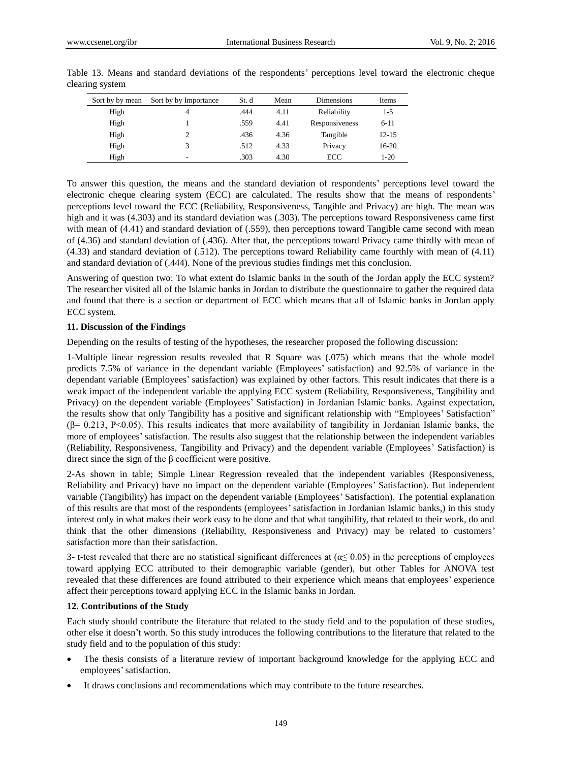| Sort by by mean | Sort by by Importance | St. d | Mean | Dimensions     | Items     |
|-----------------|-----------------------|-------|------|----------------|-----------|
| High            |                       | .444  | 4.11 | Reliability    | $1-5$     |
| High            |                       | .559  | 4.41 | Responsiveness | $6-11$    |
| High            |                       | .436  | 4.36 | Tangible       | $12 - 15$ |
| High            |                       | .512  | 4.33 | Privacy        | $16 - 20$ |
| High            | -                     | .303  | 4.30 | ECC            | $1-20$    |

Table 13. Means and standard deviations of the respondents' perceptions level toward the electronic cheque clearing system

To answer this question, the means and the standard deviation of respondents' perceptions level toward the electronic cheque clearing system (ECC) are calculated. The results show that the means of respondents' perceptions level toward the ECC (Reliability, Responsiveness, Tangible and Privacy) are high. The mean was high and it was (4.303) and its standard deviation was (.303). The perceptions toward Responsiveness came first with mean of  $(4.41)$  and standard deviation of (.559), then perceptions toward Tangible came second with mean of (4.36) and standard deviation of (.436). After that, the perceptions toward Privacy came thirdly with mean of (4.33) and standard deviation of (.512). The perceptions toward Reliability came fourthly with mean of (4.11) and standard deviation of (.444). None of the previous studies findings met this conclusion.

Answering of question two: To what extent do Islamic banks in the south of the Jordan apply the ECC system? The researcher visited all of the Islamic banks in Jordan to distribute the questionnaire to gather the required data and found that there is a section or department of ECC which means that all of Islamic banks in Jordan apply ECC system.

# **11. Discussion of the Findings**

Depending on the results of testing of the hypotheses, the researcher proposed the following discussion:

1-Multiple linear regression results revealed that R Square was (.075) which means that the whole model predicts 7.5% of variance in the dependant variable (Employees' satisfaction) and 92.5% of variance in the dependant variable (Employees' satisfaction) was explained by other factors. This result indicates that there is a weak impact of the independent variable the applying ECC system (Reliability, Responsiveness, Tangibility and Privacy) on the dependent variable (Employees' Satisfaction) in Jordanian Islamic banks. Against expectation, the results show that only Tangibility has a positive and significant relationship with "Employees' Satisfaction"  $(\beta$ = 0.213, P<0.05). This results indicates that more availability of tangibility in Jordanian Islamic banks, the more of employees' satisfaction. The results also suggest that the relationship between the independent variables (Reliability, Responsiveness, Tangibility and Privacy) and the dependent variable (Employees' Satisfaction) is direct since the sign of the β coefficient were positive.

2-As shown in table; Simple Linear Regression revealed that the independent variables (Responsiveness, Reliability and Privacy) have no impact on the dependent variable (Employees' Satisfaction). But independent variable (Tangibility) has impact on the dependent variable (Employees' Satisfaction). The potential explanation of this results are that most of the respondents (employees' satisfaction in Jordanian Islamic banks,) in this study interest only in what makes their work easy to be done and that what tangibility, that related to their work, do and think that the other dimensions (Reliability, Responsiveness and Privacy) may be related to customers' satisfaction more than their satisfaction.

3- t-test revealed that there are no statistical significant differences at  $(\alpha \le 0.05)$  in the perceptions of employees toward applying ECC attributed to their demographic variable (gender), but other Tables for ANOVA test revealed that these differences are found attributed to their experience which means that employees' experience affect their perceptions toward applying ECC in the Islamic banks in Jordan.

# **12. Contributions of the Study**

Each study should contribute the literature that related to the study field and to the population of these studies, other else it doesn't worth. So this study introduces the following contributions to the literature that related to the study field and to the population of this study:

- The thesis consists of a literature review of important background knowledge for the applying ECC and employees'satisfaction.
- It draws conclusions and recommendations which may contribute to the future researches.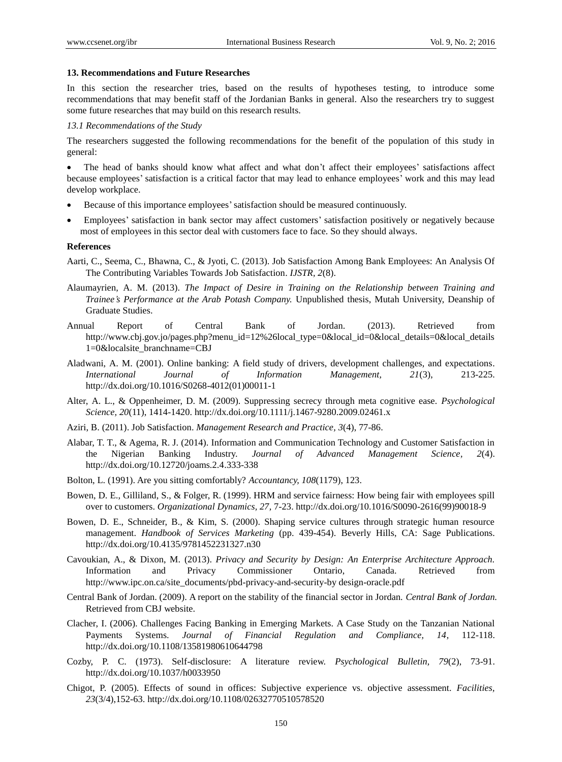#### **13. Recommendations and Future Researches**

In this section the researcher tries, based on the results of hypotheses testing, to introduce some recommendations that may benefit staff of the Jordanian Banks in general. Also the researchers try to suggest some future researches that may build on this research results.

*13.1 Recommendations of the Study*

The researchers suggested the following recommendations for the benefit of the population of this study in general:

 The head of banks should know what affect and what don't affect their employees' satisfactions affect because employees' satisfaction is a critical factor that may lead to enhance employees' work and this may lead develop workplace.

- Because of this importance employees'satisfaction should be measured continuously.
- Employees' satisfaction in bank sector may affect customers' satisfaction positively or negatively because most of employees in this sector deal with customers face to face. So they should always.

## **References**

- Aarti, C., Seema, C., Bhawna, C., & Jyoti, C. (2013). [Job Satisfaction Among Bank Employees: An Analysis Of](http://www.ijstr.org/final-print/aug2013/Job-Satisfaction-Among-Bank-Employees-An-Analysis-Of-The-Contributing-Variables-Towards-Job-Satisfaction.pdf)  [The Contributing Variables Towards Job Satisfaction.](http://www.ijstr.org/final-print/aug2013/Job-Satisfaction-Among-Bank-Employees-An-Analysis-Of-The-Contributing-Variables-Towards-Job-Satisfaction.pdf) *IJSTR, 2*(8).
- Alaumayrien, A. M. (2013). *The Impact of Desire in Training on the Relationship between Training and Trainee's Performance at the Arab Potash Company.* Unpublished thesis, Mutah University, Deanship of Graduate Studies.
- Annual Report of Central Bank of Jordan. (2013). Retrieved from http://www.cbj.gov.jo/pages.php?menu\_id=12%26local\_type=0&local\_id=0&local\_details=0&local\_details 1=0&localsite\_branchname=CBJ
- Aladwani, A. M. (2001). Online banking: A field study of drivers, development challenges, and expectations. *International Journal of Information Management, 21*(3), 213-225. [http://dx.doi.org/10.1016/S0268-4012\(01\)00011-1](http://dx.doi.org/10.1016/S0268-4012(01)00011-1)
- Alter, A. L., & Oppenheimer, D. M. (2009). Suppressing secrecy through meta cognitive ease. *Psychological Science, 20*(11), 1414-1420. <http://dx.doi.org/10.1111/j.1467-9280.2009.02461.x>
- Aziri, B. (2011). Job Satisfaction. *Management Research and Practice, 3*(4), 77-86.
- Alabar, T. T., & Agema, R. J. (2014). Information and Communication Technology and Customer Satisfaction in the Nigerian Banking Industry. *Journal of Advanced Management Science, 2*(4). <http://dx.doi.org/10.12720/joams.2.4.333-338>
- Bolton, L. (1991). Are you sitting comfortably? *Accountancy, 108*(1179), 123.
- Bowen, D. E., Gilliland, S., & Folger, R. (1999). HRM and service fairness: How being fair with employees spill over to customers. *Organizational Dynamics, 27,* 7-23. [http://dx.doi.org/10.1016/S0090-2616\(99\)90018-9](http://dx.doi.org/10.1016/S0090-2616(99)90018-9)
- Bowen, D. E., Schneider, B., & Kim, S. (2000). Shaping service cultures through strategic human resource management. *Handbook of Services Marketing* (pp. 439-454). Beverly Hills, CA: Sage Publications. <http://dx.doi.org/10.4135/9781452231327.n30>
- Cavoukian, A., & Dixon, M. (2013). *Privacy and Security by Design: An Enterprise Architecture Approach.* Information and Privacy Commissioner Ontario, Canada. Retrieved from [http://www.ipc.on.ca/site\\_documents/pbd-privacy-and-security-by design-oracle.pdf](http://www.ipc.on.ca/site_documents/pbd-privacy-and-security-by%20design-oracle.pdf)
- Central Bank of Jordan. (2009). A report on the stability of the financial sector in Jordan. *Central Bank of Jordan.* Retrieved from CBJ website.
- Clacher, I. (2006). Challenges Facing Banking in Emerging Markets. A Case Study on the Tanzanian National Payments Systems. *Journal of Financial Regulation and Compliance, 14,* 112-118. <http://dx.doi.org/10.1108/13581980610644798>
- Cozby, P. C. (1973). Self-disclosure: A literature review. *Psychological Bulletin, 79*(2), 73-91. <http://dx.doi.org/10.1037/h0033950>
- Chigot, P. (2005). Effects of sound in offices: Subjective experience vs. objective assessment. *Facilities, 23*(3/4),152-63.<http://dx.doi.org/10.1108/02632770510578520>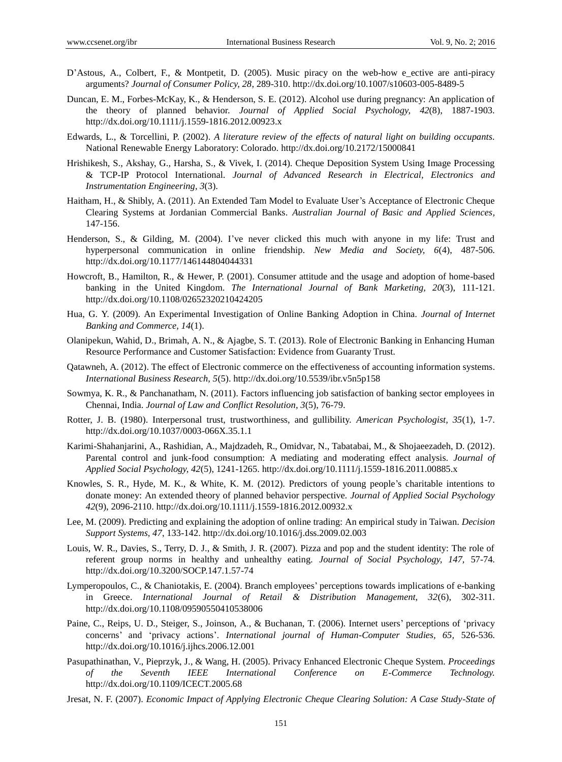- D'Astous, A., Colbert, F., & Montpetit, D. (2005). Music piracy on the web-how e\_ective are anti-piracy arguments? *Journal of Consumer Policy, 28*, 289-310. <http://dx.doi.org/10.1007/s10603-005-8489-5>
- Duncan, E. M., Forbes-McKay, K., & Henderson, S. E. (2012). Alcohol use during pregnancy: An application of the theory of planned behavior. *Journal of Applied Social Psychology, 42*(8), 1887-1903. <http://dx.doi.org/10.1111/j.1559-1816.2012.00923.x>
- Edwards, L., & Torcellini, P. (2002). *A literature review of the effects of natural light on building occupants.*  National Renewable Energy Laboratory: Colorado. <http://dx.doi.org/10.2172/15000841>
- Hrishikesh, S., Akshay, G., Harsha, S., & Vivek, I. (2014). Cheque Deposition System Using Image Processing & TCP-IP Protocol International. *Journal of Advanced Research in Electrical, Electronics and Instrumentation Engineering, 3*(3).
- Haitham, H., & Shibly, A. (2011). An Extended Tam Model to Evaluate User's Acceptance of Electronic Cheque Clearing Systems at Jordanian Commercial Banks. *Australian Journal of Basic and Applied Sciences,* 147-156.
- Henderson, S., & Gilding, M. (2004). I've never clicked this much with anyone in my life: Trust and hyperpersonal communication in online friendship. *New Media and Society, 6*(4), 487-506. <http://dx.doi.org/10.1177/146144804044331>
- Howcroft, B., Hamilton, R., & Hewer, P. (2001). Consumer attitude and the usage and adoption of home-based banking in the United Kingdom. *The International Journal of Bank Marketing, 20*(3), 111-121. <http://dx.doi.org/10.1108/02652320210424205>
- Hua, G. Y. (2009). An Experimental Investigation of Online Banking Adoption in China. *Journal of Internet Banking and Commerce, 14*(1).
- Olanipekun, Wahid, D., Brimah, A. N., & Ajagbe, S. T. (2013). Role of Electronic Banking in Enhancing Human Resource Performance and Customer Satisfaction: Evidence from Guaranty Trust.
- Qatawneh, A. (2012). The effect of Electronic commerce on the effectiveness of accounting information systems. *International Business Research, 5*(5). <http://dx.doi.org/10.5539/ibr.v5n5p158>
- Sowmya, K. R., & Panchanatham, N. (2011). Factors influencing job satisfaction of banking sector employees in Chennai, India. *Journal of Law and Conflict Resolution, 3*(5), 76-79.
- Rotter, J. B. (1980). Interpersonal trust, trustworthiness, and gullibility. *American Psychologist, 35*(1), 1-7. <http://dx.doi.org/10.1037/0003-066X.35.1.1>
- Karimi-Shahanjarini, A., Rashidian, A., Majdzadeh, R., Omidvar, N., Tabatabai, M., & Shojaeezadeh, D. (2012). Parental control and junk-food consumption: A mediating and moderating effect analysis. *Journal of Applied Social Psychology, 42*(5), 1241-1265. <http://dx.doi.org/10.1111/j.1559-1816.2011.00885.x>
- Knowles, S. R., Hyde, M. K., & White, K. M. (2012). Predictors of young people's charitable intentions to donate money: An extended theory of planned behavior perspective. *Journal of Applied Social Psychology 42*(9), 2096-2110. <http://dx.doi.org/10.1111/j.1559-1816.2012.00932.x>
- Lee, M. (2009). Predicting and explaining the adoption of online trading: An empirical study in Taiwan. *Decision Support Systems, 47*, 133-142. <http://dx.doi.org/10.1016/j.dss.2009.02.003>
- Louis, W. R., Davies, S., Terry, D. J., & Smith, J. R. (2007). Pizza and pop and the student identity: The role of referent group norms in healthy and unhealthy eating. *Journal of Social Psychology, 147,* 57-74. <http://dx.doi.org/10.3200/SOCP.147.1.57-74>
- Lymperopoulos, C., & Chaniotakis, E. (2004). Branch employees' perceptions towards implications of e-banking in Greece. *International Journal of Retail & Distribution Management, 32*(6), 302-311. <http://dx.doi.org/10.1108/09590550410538006>
- Paine, C., Reips, U. D., Steiger, S., Joinson, A., & Buchanan, T. (2006). Internet users' perceptions of 'privacy concerns' and 'privacy actions'. *International journal of Human-Computer Studies, 65,* 526-536. <http://dx.doi.org/10.1016/j.ijhcs.2006.12.001>
- Pasupathinathan, V., Pieprzyk, J., & Wang, H. (2005). Privacy Enhanced Electronic Cheque System. *Proceedings of the Seventh IEEE International Conference on E-Commerce Technology.* <http://dx.doi.org/10.1109/ICECT.2005.68>
- Jresat, N. F. (2007). *Economic Impact of Applying Electronic Cheque Clearing Solution: A Case Study-State of*